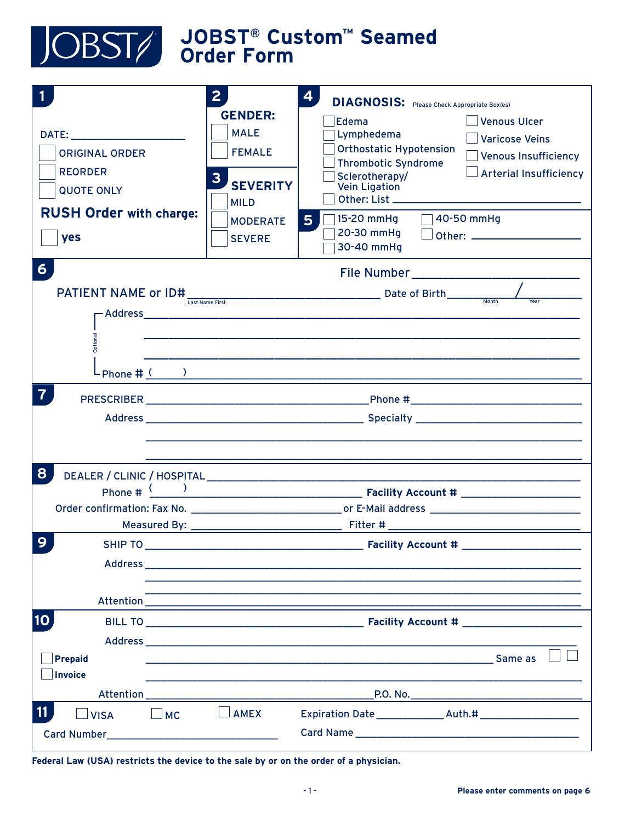

| <b>ORIGINAL ORDER</b><br><b>REORDER</b><br><b>QUOTE ONLY</b><br><b>RUSH Order with charge:</b><br>yes | 2 <sup>1</sup><br><b>GENDER:</b><br><b>MALE</b><br><b>FEMALE</b><br>3<br><b>SEVERITY</b><br><b>MILD</b><br><b>MODERATE</b><br><b>SEVERE</b> | $\overline{\mathbf{4}}$<br><b>DIAGNOSIS:</b> Please Check Appropriate Box(es)<br>Edema<br>Venous Ulcer<br>Lymphedema<br>Varicose Veins<br><b>Orthostatic Hypotension</b><br>Venous Insufficiency<br><b>Thrombotic Syndrome</b><br>$\Box$ Arterial Insufficiency<br>Sclerotherapy/<br>Vein Ligation<br>Other: List ________<br>40-50 mmHg<br>15-20 mmHg<br>5 <sup>1</sup><br>20-30 mmHg<br>30-40 mmHg |
|-------------------------------------------------------------------------------------------------------|---------------------------------------------------------------------------------------------------------------------------------------------|------------------------------------------------------------------------------------------------------------------------------------------------------------------------------------------------------------------------------------------------------------------------------------------------------------------------------------------------------------------------------------------------------|
| $6 \overline{6}$<br><b>PATIENT NAME or ID#</b><br><b>Optional</b>                                     |                                                                                                                                             |                                                                                                                                                                                                                                                                                                                                                                                                      |
| 7                                                                                                     |                                                                                                                                             |                                                                                                                                                                                                                                                                                                                                                                                                      |
| 8<br>9<br><b>SHIP TO</b>                                                                              |                                                                                                                                             | Order confirmation: Fax No. _________________________________or E-Mail address _______________________________<br><b>Facility Account #</b>                                                                                                                                                                                                                                                          |
| $ 10\rangle$<br>Prepaid<br>Invoice                                                                    |                                                                                                                                             | <b>Facility Account #</b> Facility Account #<br><u>Same as the contract of the contract of the contract of the contract of the contract of the contract of the contract of the contract of the contract of the contract of the contract of the contract of the contract of the c</u>                                                                                                                 |
| 11<br>$\Box$ MC<br>$\Box$ VISA                                                                        | <b>AMEX</b>                                                                                                                                 |                                                                                                                                                                                                                                                                                                                                                                                                      |

Federal Law (USA) restricts the device to the sale by or on the order of a physician.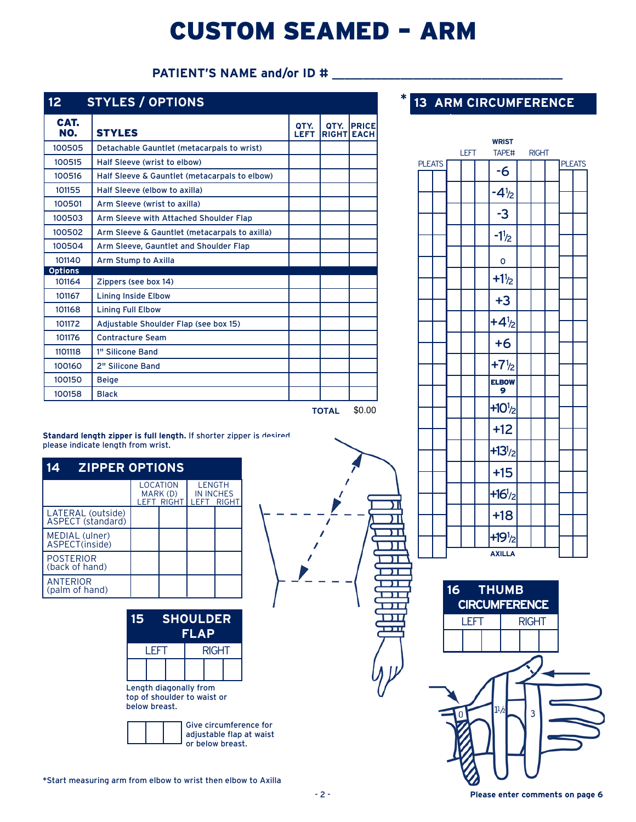## CUSTOM SEAMED – ARM

#### PATIENT'S NAME and/or ID #

| 12 <sub>2</sub> | <b>STYLES / OPTIONS</b>                       |                     |                           |              |
|-----------------|-----------------------------------------------|---------------------|---------------------------|--------------|
| CAT.<br>NO.     | <b>STYLES</b>                                 | QTY.<br><b>LEFT</b> | OTY.<br><b>RIGHT EACH</b> | <b>PRICE</b> |
| 100505          | Detachable Gauntlet (metacarpals to wrist)    |                     |                           |              |
| 100515          | Half Sleeve (wrist to elbow)                  |                     |                           |              |
| 100516          | Half Sleeve & Gauntlet (metacarpals to elbow) |                     |                           |              |
| 101155          | Half Sleeve (elbow to axilla)                 |                     |                           |              |
| 100501          | Arm Sleeve (wrist to axilla)                  |                     |                           |              |
| 100503          | Arm Sleeve with Attached Shoulder Flap        |                     |                           |              |
| 100502          | Arm Sleeve & Gauntlet (metacarpals to axilla) |                     |                           |              |
| 100504          | Arm Sleeve, Gauntlet and Shoulder Flap        |                     |                           |              |
| 101140          | Arm Stump to Axilla                           |                     |                           |              |
| <b>Options</b>  |                                               |                     |                           |              |
| 101164          | Zippers (see box 14)                          |                     |                           |              |
| 101167          | <b>Lining Inside Elbow</b>                    |                     |                           |              |
| 101168          | <b>Lining Full Elbow</b>                      |                     |                           |              |
| 101172          | Adjustable Shoulder Flap (see box 15)         |                     |                           |              |
| 101176          | <b>Contracture Seam</b>                       |                     |                           |              |
| 1101118         | 1" Silicone Band                              |                     |                           |              |
| 100160          | 2" Silicone Band                              |                     |                           |              |
| 100150          | <b>Beige</b>                                  |                     |                           |              |
| 100158          | <b>Black</b>                                  |                     |                           |              |
|                 |                                               |                     | <b>TOTAL</b>              | \$0.00       |

### **13 ARM CIRCUMFERENCE**

**\***

π





**Standard length zipper is full length.** If shorter zipper is desired, please indicate length from wrist.

| <b>ZIPPER OPTIONS</b>                  |                                           |                                           |              |
|----------------------------------------|-------------------------------------------|-------------------------------------------|--------------|
|                                        | LOCATION<br>MARK (D)<br><b>LEFT RIGHT</b> | <b>LENGTH</b><br><b>IN INCHES</b><br>LEFT | <b>RIGHT</b> |
| LATERAL (outside)<br>ASPECT (standard) |                                           |                                           |              |
| MEDIAL (ulner)<br>ASPECT(inside)       |                                           |                                           |              |
| <b>POSTERIOR</b><br>(back of hand)     |                                           |                                           |              |
| <b>ANTERIOR</b><br>(palm of hand)      |                                           |                                           |              |

| 15 | <b>SHOULDER</b><br><b>FLAP</b> |  |  |       |  |  |  |
|----|--------------------------------|--|--|-------|--|--|--|
|    | I FFT                          |  |  | RIGHT |  |  |  |
|    |                                |  |  |       |  |  |  |

Length diagonally from top of shoulder to waist or below breast.

|  | Give circumference for<br>adjustable flap at waist<br>or below breast. |
|--|------------------------------------------------------------------------|
|  |                                                                        |

\*Start measuring arm from elbow to wrist then elbow to Axilla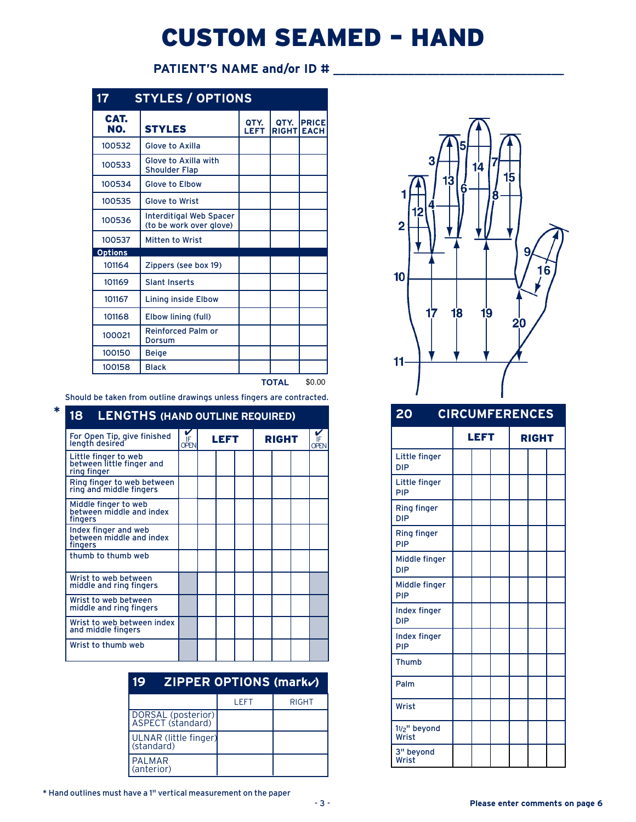# CUSTOM SEAMED – HAND

### **PATIENT'S NAME and/or ID #** \_\_\_\_\_\_\_\_\_\_\_\_\_\_\_\_\_\_\_\_\_\_\_\_\_\_\_\_\_\_\_\_\_\_\_\_\_

| 17             | <b>STYLES / OPTIONS</b>                                   |              |                      |                             |
|----------------|-----------------------------------------------------------|--------------|----------------------|-----------------------------|
| CAT.<br>NO.    | <b>STYLES</b>                                             | OTY.<br>LEFT | OTY.<br><b>RIGHT</b> | <b>PRICE</b><br><b>EACH</b> |
| 100532         | <b>Glove to Axilla</b>                                    |              |                      |                             |
| 100533         | Glove to Axilla with<br><b>Shoulder Flap</b>              |              |                      |                             |
| 100534         | <b>Glove to Elbow</b>                                     |              |                      |                             |
| 100535         | <b>Glove to Wrist</b>                                     |              |                      |                             |
| 100536         | <b>Interditigal Web Spacer</b><br>(to be work over glove) |              |                      |                             |
| 100537         | <b>Mitten to Wrist</b>                                    |              |                      |                             |
| <b>Options</b> |                                                           |              |                      |                             |
| 101164         | Zippers (see box 19)                                      |              |                      |                             |
| 101169         | <b>Slant Inserts</b>                                      |              |                      |                             |
| 101167         | <b>Lining inside Elbow</b>                                |              |                      |                             |
| 101168         | Elbow lining (full)                                       |              |                      |                             |
| 100021         | <b>Reinforced Palm or</b><br>Dorsum                       |              |                      |                             |
| 100150         | <b>Beige</b>                                              |              |                      |                             |
| 100158         | <b>Black</b>                                              |              |                      |                             |
|                |                                                           |              | <b>TOTAL</b>         | \$0.00                      |

Should be taken from outline drawings unless fingers are contracted.

**\***

| 18 -<br><b>LENGTHS (HAND OUTLINE REQUIRED)</b>                   |                  |      |  |              |                   |
|------------------------------------------------------------------|------------------|------|--|--------------|-------------------|
| For Open Tip, give finished<br>length desired                    | ř<br><b>OPFN</b> | LEFT |  | <b>RIGHT</b> | IF<br><b>OPEN</b> |
| Little finger to web<br>between little finger and<br>ring finger |                  |      |  |              |                   |
| Ring finger to web between<br>ring and middle fingers            |                  |      |  |              |                   |
| Middle finger to web<br>between middle and index<br>fingers      |                  |      |  |              |                   |
| Index finger and web<br>between middle and index<br>fingers      |                  |      |  |              |                   |
| thumb to thumb web                                               |                  |      |  |              |                   |
| Wrist to web between<br>middle and ring fingers                  |                  |      |  |              |                   |
| Wrist to web between<br>middle and ring fingers                  |                  |      |  |              |                   |
| Wrist to web between index<br>and middle fingers                 |                  |      |  |              |                   |
| Wrist to thumb web                                               |                  |      |  |              |                   |

| 19                                      | <b>ZIPPER OPTIONS (mark<math>\nu</math>)</b> |              |
|-----------------------------------------|----------------------------------------------|--------------|
|                                         | LEFT                                         | <b>RIGHT</b> |
| DORSAL (posterior)<br>ASPECT (standard) |                                              |              |
| ULNAR (little finger)<br>(standard)     |                                              |              |
| <b>PALMAR</b><br>(anterior)             |                                              |              |



#### **20 CIRCUMFERENCES**

|                                  | LEFT |  | <b>RIGHT</b> |  |
|----------------------------------|------|--|--------------|--|
| Little finger<br><b>DIP</b>      |      |  |              |  |
| Little finger<br>PIP             |      |  |              |  |
| <b>Ring finger</b><br><b>DIP</b> |      |  |              |  |
| <b>Ring finger</b><br>PIP        |      |  |              |  |
| Middle finger<br><b>DIP</b>      |      |  |              |  |
| Middle finger<br>PIP             |      |  |              |  |
| Index finger<br><b>DIP</b>       |      |  |              |  |
| Index finger<br>PIP              |      |  |              |  |
| <b>Thumb</b>                     |      |  |              |  |
| Palm                             |      |  |              |  |
| Wrist                            |      |  |              |  |
| 11/2" beyond<br>Wrist            |      |  |              |  |
| 3" beyond<br>Wrist               |      |  |              |  |

\* Hand outlines must have a 1" vertical measurement on the paper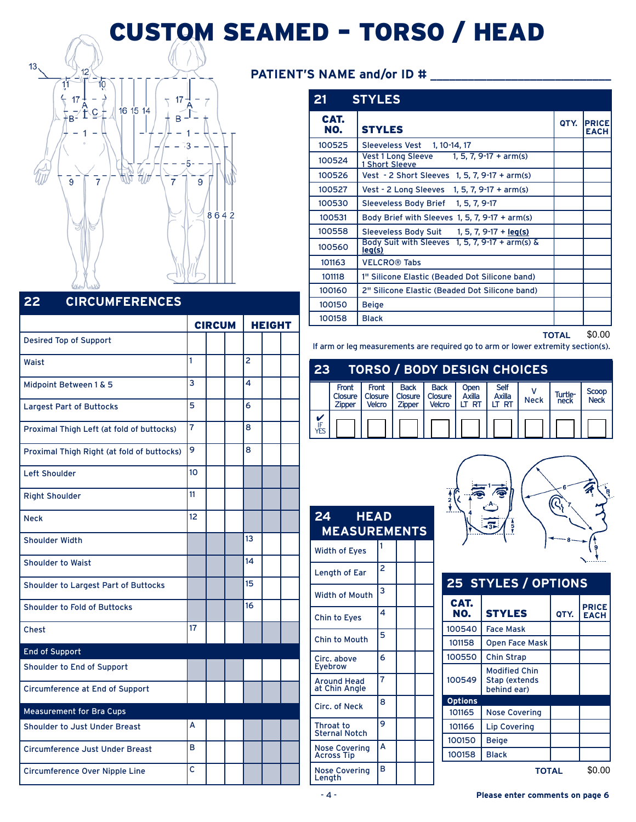# CUSTOM SEAMED – TORSO / HEAD



#### **22 CIRCUMFERENCES**

|                                            | <b>CIRCUM</b>  |  |  |                | <b>HEIGHT</b> |  |  |
|--------------------------------------------|----------------|--|--|----------------|---------------|--|--|
| <b>Desired Top of Support</b>              |                |  |  |                |               |  |  |
| Waist                                      | 1              |  |  | $\overline{2}$ |               |  |  |
| Midpoint Between 1 & 5                     | 3              |  |  | 4              |               |  |  |
| <b>Largest Part of Buttocks</b>            | 5              |  |  | 6              |               |  |  |
| Proximal Thigh Left (at fold of buttocks)  | $\overline{7}$ |  |  | 8              |               |  |  |
| Proximal Thigh Right (at fold of buttocks) | 9              |  |  | 8              |               |  |  |
| <b>Left Shoulder</b>                       | 10             |  |  |                |               |  |  |
| <b>Right Shoulder</b>                      | 11             |  |  |                |               |  |  |
| <b>Neck</b>                                | 12             |  |  |                |               |  |  |
| <b>Shoulder Width</b>                      |                |  |  | 13             |               |  |  |
| <b>Shoulder to Waist</b>                   |                |  |  | 14             |               |  |  |
| Shoulder to Largest Part of Buttocks       |                |  |  | 15             |               |  |  |
| Shoulder to Fold of Buttocks               |                |  |  | 16             |               |  |  |
| <b>Chest</b>                               | 17             |  |  |                |               |  |  |
| <b>End of Support</b>                      |                |  |  |                |               |  |  |
| Shoulder to End of Support                 |                |  |  |                |               |  |  |
| Circumference at End of Support            |                |  |  |                |               |  |  |
| <b>Measurement for Bra Cups</b>            |                |  |  |                |               |  |  |
| Shoulder to Just Under Breast              | А              |  |  |                |               |  |  |
| <b>Circumference Just Under Breast</b>     | в              |  |  |                |               |  |  |
| <b>Circumference Over Nipple Line</b>      | c              |  |  |                |               |  |  |

#### **PATIENT'S NAME and/or ID #** \_\_\_\_\_\_\_\_\_\_\_\_\_\_\_\_\_\_\_\_\_\_\_\_\_\_\_\_\_

|             | 21 STYLES                                                                |      |                             |
|-------------|--------------------------------------------------------------------------|------|-----------------------------|
| CAT.<br>NO. | <b>STYLES</b>                                                            | QTY. | <b>PRICE</b><br><b>EACH</b> |
| 100525      | Sleeveless Vest 1, 10-14, 17                                             |      |                             |
| 100524      | Vest 1 Long Sleeve $\frac{1}{1}$ , 5, 7, 9-17 + arm(s)<br>1 Short Sleeve |      |                             |
| 100526      | Vest - 2 Short Sleeves 1, 5, 7, 9-17 + arm(s)                            |      |                             |
| 100527      | Vest - 2 Long Sleeves 1, 5, 7, $9-17 + arm(s)$                           |      |                             |
| 100530      | Sleeveless Body Brief 1, 5, 7, 9-17                                      |      |                             |
| 100531      | Body Brief with Sleeves 1, 5, 7, $9-17 + arm(s)$                         |      |                             |
| 100558      | Sleeveless Body Suit 1, 5, 7, 9-17 + leg(s)                              |      |                             |
| 100560      | Body Suit with Sleeves 1, 5, 7, 9-17 + arm(s) &<br>leg(s)                |      |                             |
| 101163      | <b>VELCRO® Tabs</b>                                                      |      |                             |
| 101118      | 1" Silicone Elastic (Beaded Dot Silicone band)                           |      |                             |
| 100160      | 2" Silicone Elastic (Beaded Dot Silicone band)                           |      |                             |
| 100150      | <b>Beige</b>                                                             |      |                             |
| 100158      | <b>Black</b>                                                             |      |                             |

**TOTAL** \$0.00

If arm or leg measurements are required go to arm or lower extremity section(s).

### **23 TORSO / BODY DESIGN CHOICES**

|           | Front<br>Closure<br><b>Zipper</b> | Front<br><b>Velcro</b> | <b>Back</b><br>Closure   Closure  <br>Zipper | <b>Back</b><br>Closure<br><b>Velcro</b> | Open<br>Axilla<br>LT RT | <b>Self</b><br>Axilla<br>LT RT | <b>Neck</b> | Turtle-<br>neck | Scoop<br><b>Neck</b> |
|-----------|-----------------------------------|------------------------|----------------------------------------------|-----------------------------------------|-------------------------|--------------------------------|-------------|-----------------|----------------------|
| IF<br>YËS |                                   |                        |                                              |                                         |                         |                                |             |                 |                      |

| <b>HEAD</b><br>24<br><b>MEASUREMENTS</b> |   |  |
|------------------------------------------|---|--|
| <b>Width of Eyes</b>                     | 1 |  |
| Length of Ear                            | 2 |  |
| <b>Width of Mouth</b>                    | 3 |  |
| Chin to Eyes                             | 4 |  |
| Chin to Mouth                            | 5 |  |
| Circ. above<br><b>Eyebrow</b>            | 6 |  |
| <b>Around Head</b><br>at Chin Angle      | 7 |  |
| Circ. of Neck                            | 8 |  |
| <b>Throat to</b><br><b>Sternal Notch</b> | 9 |  |
| Nose Covering<br>Across Tip              | A |  |
| <b>Nose Covering</b><br>Lenath           | в |  |



| <b>25 STYLES / OPTIONS</b> |                                                             |      |                             |  |
|----------------------------|-------------------------------------------------------------|------|-----------------------------|--|
| CAT.<br>NO.                | <b>STYLES</b>                                               | QTY. | <b>PRICE</b><br><b>EACH</b> |  |
| 100540                     | <b>Face Mask</b>                                            |      |                             |  |
| 101158                     | <b>Open Face Mask</b>                                       |      |                             |  |
| 100550                     | <b>Chin Strap</b>                                           |      |                             |  |
| 100549                     | <b>Modified Chin</b><br><b>Stap (extends</b><br>behind ear) |      |                             |  |
| <b>Options</b>             |                                                             |      |                             |  |
| 101165                     | <b>Nose Covering</b>                                        |      |                             |  |
| 101166                     | Lip Covering                                                |      |                             |  |
| 100150                     | Beige                                                       |      |                             |  |
| 100158                     | Black                                                       |      |                             |  |
| <b>TOTAL</b>               |                                                             |      | \$0.00                      |  |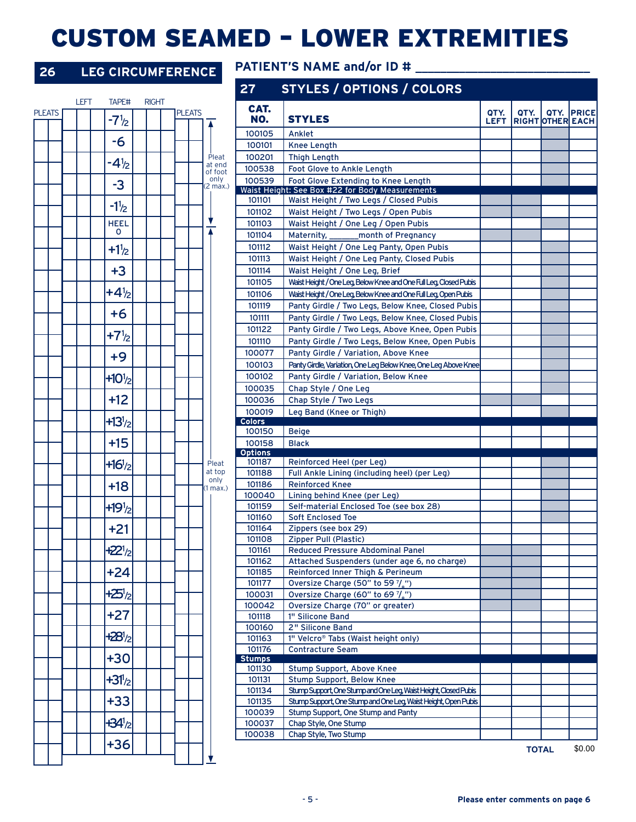# CUSTOM SEAMED – LOWER EXTREMITIES

### **26 LEG CIRCUMFERENCE** PATIENT'S NAME and/or ID # \_\_\_\_\_\_\_\_\_\_\_\_\_\_\_\_\_\_\_\_\_\_\_\_\_\_\_\_\_\_\_

 $-7<sup>1</sup>/<sub>2</sub>$ -6

LEFT TAPE# RIGHT

**PLEATS** 

 $-4<sup>1</sup>/<sub>2</sub>$ -3

 $-1<sup>1</sup>/<sub>2</sub>$ HEEL 0  $+1<sup>1</sup>/<sub>2</sub>$ +3

 $+4<sup>1</sup>/<sub>2</sub>$ +6

 $+7<sup>1</sup>/<sub>2</sub>$ +9

 $+10^{1/2}$ +12

 $+13^{1}/2$ +15

 $+16^{1}/2$ +18

 $+19<sup>1</sup>/<sub>2</sub>$ +21

 $+22^{1}/2$ +24

 $+25<sup>1</sup>/<sub>2</sub>$ +27

 $+28<sup>1</sup>/<sub>2</sub>$ +30

 $+31/2$ +33

 $+34<sup>1</sup>/<sub>2</sub>$ +36

|               |                   | 27                      | <b>STYLES / OPTIONS / COLORS</b>                                        |                     |      |                  |                    |
|---------------|-------------------|-------------------------|-------------------------------------------------------------------------|---------------------|------|------------------|--------------------|
| <b>PLEATS</b> |                   | CAT.<br>NO.             | <b>STYLES</b>                                                           | QTY.<br><b>LEFT</b> | QTY. | RIGHT OTHER EACH | <b>QTY. IPRICE</b> |
|               |                   | 100105                  | Anklet                                                                  |                     |      |                  |                    |
|               |                   | 100101                  | <b>Knee Length</b>                                                      |                     |      |                  |                    |
|               | Pleat             | 100201                  | <b>Thigh Length</b>                                                     |                     |      |                  |                    |
|               | at end<br>of foot | 100538                  | Foot Glove to Ankle Length                                              |                     |      |                  |                    |
|               | only<br>(2 max.)  | 100539                  | Foot Glove Extending to Knee Length                                     |                     |      |                  |                    |
|               |                   |                         | Waist Height: See Box #22 for Body Measurements                         |                     |      |                  |                    |
|               |                   | 101101                  | Waist Height / Two Legs / Closed Pubis                                  |                     |      |                  |                    |
|               |                   | 101102                  | Waist Height / Two Legs / Open Pubis                                    |                     |      |                  |                    |
|               |                   | 101103                  | Waist Height / One Leg / Open Pubis                                     |                     |      |                  |                    |
|               |                   | 101104                  | month of Pregnancy<br>Maternity,                                        |                     |      |                  |                    |
|               |                   | 101112                  | Waist Height / One Leg Panty, Open Pubis                                |                     |      |                  |                    |
|               |                   | 101113                  | Waist Height / One Leg Panty, Closed Pubis                              |                     |      |                  |                    |
|               |                   | 101114                  | Waist Height / One Leg, Brief                                           |                     |      |                  |                    |
|               |                   | 101105                  | Waist Height / One Leg, Below Knee and One Full Leg, Closed Pubis       |                     |      |                  |                    |
|               |                   | 101106                  | Waist Height / One Leg, Below Knee and One Full Leg, Open Pubis         |                     |      |                  |                    |
|               |                   | 101119                  | Panty Girdle / Two Legs, Below Knee, Closed Pubis                       |                     |      |                  |                    |
|               |                   | 101111                  | Panty Girdle / Two Legs, Below Knee, Closed Pubis                       |                     |      |                  |                    |
|               |                   | 101122                  | Panty Girdle / Two Legs, Above Knee, Open Pubis                         |                     |      |                  |                    |
|               |                   | 101110                  | Panty Girdle / Two Legs, Below Knee, Open Pubis                         |                     |      |                  |                    |
|               |                   | 100077                  | Panty Girdle / Variation, Above Knee                                    |                     |      |                  |                    |
|               |                   | 100103                  | Panty Girdle, Variation, One Leg Below Knee, One Leg Above Knee         |                     |      |                  |                    |
|               |                   | 100102                  | Panty Girdle / Variation, Below Knee                                    |                     |      |                  |                    |
|               |                   | 100035                  | Chap Style / One Leg                                                    |                     |      |                  |                    |
|               |                   | 100036                  | Chap Style / Two Legs                                                   |                     |      |                  |                    |
|               |                   | 100019<br><b>Colors</b> | Leg Band (Knee or Thigh)                                                |                     |      |                  |                    |
|               |                   | 100150                  | <b>Beige</b>                                                            |                     |      |                  |                    |
|               |                   |                         |                                                                         |                     |      |                  |                    |
|               |                   | 100158                  | <b>Black</b>                                                            |                     |      |                  |                    |
|               |                   | <b>Options</b>          |                                                                         |                     |      |                  |                    |
|               | Pleat             | 101187                  | Reinforced Heel (per Leg)                                               |                     |      |                  |                    |
|               | at top<br>only    | 101188                  | Full Ankle Lining (including heel) (per Leg)                            |                     |      |                  |                    |
|               | (1 max.)          | 101186<br>100040        | <b>Reinforced Knee</b>                                                  |                     |      |                  |                    |
|               |                   | 101159                  | Lining behind Knee (per Leg)<br>Self-material Enclosed Toe (see box 28) |                     |      |                  |                    |
|               |                   | 101160                  | <b>Soft Enclosed Toe</b>                                                |                     |      |                  |                    |
|               |                   | 101164                  | Zippers (see box 29)                                                    |                     |      |                  |                    |
|               |                   | 101108                  | Zipper Pull (Plastic)                                                   |                     |      |                  |                    |
|               |                   | 101161                  | Reduced Pressure Abdominal Panel                                        |                     |      |                  |                    |
|               |                   | 101162                  | Attached Suspenders (under age 6, no charge)                            |                     |      |                  |                    |
|               |                   | 101185                  | Reinforced Inner Thigh & Perineum                                       |                     |      |                  |                    |
|               |                   | 101177                  | Oversize Charge (50" to 59 7/3")                                        |                     |      |                  |                    |
|               |                   | 100031                  | Oversize Charge (60" to 69 7/2")                                        |                     |      |                  |                    |
|               |                   | 100042                  | Oversize Charge (70" or greater)                                        |                     |      |                  |                    |
|               |                   | 101118                  | 1" Silicone Band                                                        |                     |      |                  |                    |
|               |                   | 100160                  | 2" Silicone Band                                                        |                     |      |                  |                    |
|               |                   | 101163                  | 1" Velcro® Tabs (Waist height only)                                     |                     |      |                  |                    |
|               |                   | 101176<br><b>Stumps</b> | Contracture Seam                                                        |                     |      |                  |                    |
|               |                   | 101130                  | Stump Support, Above Knee                                               |                     |      |                  |                    |
|               |                   | 101131                  | Stump Support, Below Knee                                               |                     |      |                  |                    |
|               |                   | 101134                  | Stump Support, One Stump and One Leg, Waist Height, Closed Pubis        |                     |      |                  |                    |
|               |                   | 101135                  | Stump Support, One Stump and One Leg, Waist Height, Open Pubis          |                     |      |                  |                    |
|               |                   | 100039                  | Stump Support, One Stump and Panty                                      |                     |      |                  |                    |
|               |                   | 100037                  | Chap Style, One Stump                                                   |                     |      |                  |                    |
|               |                   | 100038                  | Chap Style, Two Stump                                                   |                     |      | <b>TOTAL</b>     | \$0.00             |